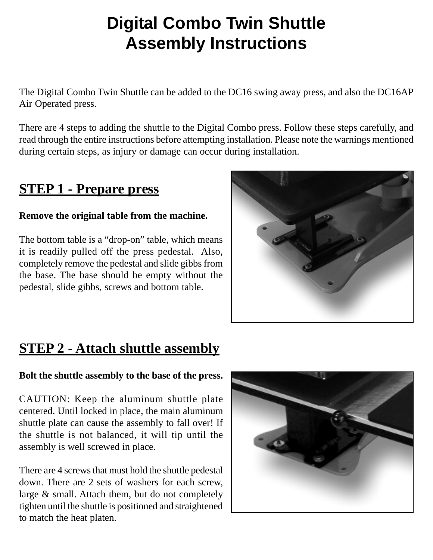# **Digital Combo Twin Shuttle Assembly Instructions**

The Digital Combo Twin Shuttle can be added to the DC16 swing away press, and also the DC16AP Air Operated press.

There are 4 steps to adding the shuttle to the Digital Combo press. Follow these steps carefully, and read through the entire instructions before attempting installation. Please note the warnings mentioned during certain steps, as injury or damage can occur during installation.

### **STEP 1 - Prepare press**

#### **Remove the original table from the machine.**

The bottom table is a "drop-on" table, which means it is readily pulled off the press pedestal. Also, completely remove the pedestal and slide gibbs from the base. The base should be empty without the pedestal, slide gibbs, screws and bottom table.



### **STEP 2 - Attach shuttle assembly**

#### **Bolt the shuttle assembly to the base of the press.**

CAUTION: Keep the aluminum shuttle plate centered. Until locked in place, the main aluminum shuttle plate can cause the assembly to fall over! If the shuttle is not balanced, it will tip until the assembly is well screwed in place.

There are 4 screws that must hold the shuttle pedestal down. There are 2 sets of washers for each screw, large & small. Attach them, but do not completely tighten until the shuttle is positioned and straightened to match the heat platen.